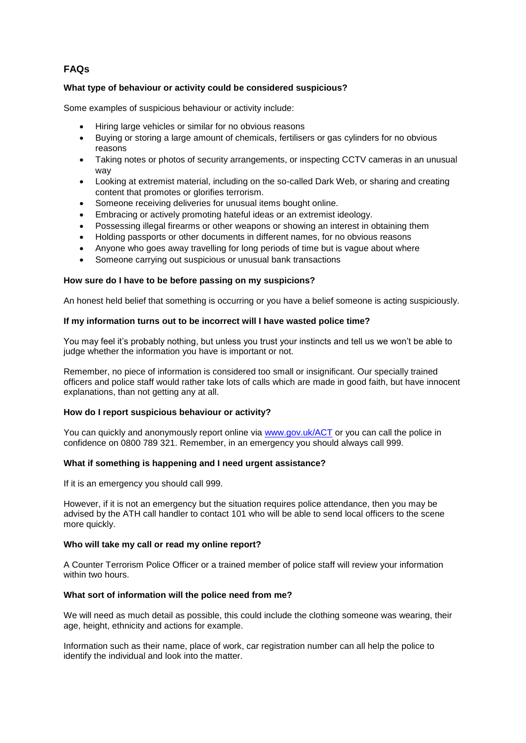# **FAQs**

# **What type of behaviour or activity could be considered suspicious?**

Some examples of suspicious behaviour or activity include:

- Hiring large vehicles or similar for no obvious reasons
- Buying or storing a large amount of chemicals, fertilisers or gas cylinders for no obvious reasons
- Taking notes or photos of security arrangements, or inspecting CCTV cameras in an unusual way
- Looking at extremist material, including on the so-called Dark Web, or sharing and creating content that promotes or glorifies terrorism.
- Someone receiving deliveries for unusual items bought online.
- Embracing or actively promoting hateful ideas or an extremist ideology.
- Possessing illegal firearms or other weapons or showing an interest in obtaining them
- Holding passports or other documents in different names, for no obvious reasons
- Anyone who goes away travelling for long periods of time but is vague about where
- Someone carrying out suspicious or unusual bank transactions

# **How sure do I have to be before passing on my suspicions?**

An honest held belief that something is occurring or you have a belief someone is acting suspiciously.

# **If my information turns out to be incorrect will I have wasted police time?**

You may feel it's probably nothing, but unless you trust your instincts and tell us we won't be able to judge whether the information you have is important or not.

Remember, no piece of information is considered too small or insignificant. Our specially trained officers and police staff would rather take lots of calls which are made in good faith, but have innocent explanations, than not getting any at all.

# **How do I report suspicious behaviour or activity?**

You can quickly and anonymously report online via [www.gov.uk/ACT](http://www.gov.uk/ACT) or you can call the police in confidence on 0800 789 321. Remember, in an emergency you should always call 999.

#### **What if something is happening and I need urgent assistance?**

If it is an emergency you should call 999.

However, if it is not an emergency but the situation requires police attendance, then you may be advised by the ATH call handler to contact 101 who will be able to send local officers to the scene more quickly.

#### **Who will take my call or read my online report?**

A Counter Terrorism Police Officer or a trained member of police staff will review your information within two hours.

# **What sort of information will the police need from me?**

We will need as much detail as possible, this could include the clothing someone was wearing, their age, height, ethnicity and actions for example.

Information such as their name, place of work, car registration number can all help the police to identify the individual and look into the matter.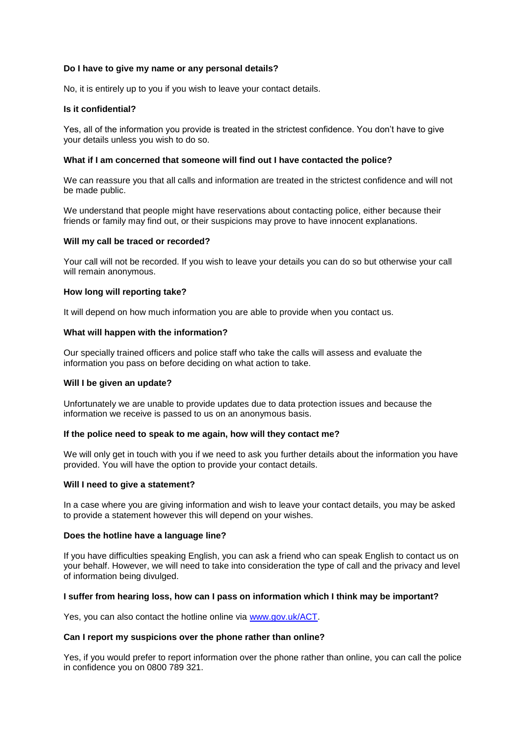# **Do I have to give my name or any personal details?**

No, it is entirely up to you if you wish to leave your contact details.

# **Is it confidential?**

Yes, all of the information you provide is treated in the strictest confidence. You don't have to give your details unless you wish to do so.

### **What if I am concerned that someone will find out I have contacted the police?**

We can reassure you that all calls and information are treated in the strictest confidence and will not be made public.

We understand that people might have reservations about contacting police, either because their friends or family may find out, or their suspicions may prove to have innocent explanations.

#### **Will my call be traced or recorded?**

Your call will not be recorded. If you wish to leave your details you can do so but otherwise your call will remain anonymous.

#### **How long will reporting take?**

It will depend on how much information you are able to provide when you contact us.

# **What will happen with the information?**

Our specially trained officers and police staff who take the calls will assess and evaluate the information you pass on before deciding on what action to take.

#### **Will I be given an update?**

Unfortunately we are unable to provide updates due to data protection issues and because the information we receive is passed to us on an anonymous basis.

#### **If the police need to speak to me again, how will they contact me?**

We will only get in touch with you if we need to ask you further details about the information you have provided. You will have the option to provide your contact details.

#### **Will I need to give a statement?**

In a case where you are giving information and wish to leave your contact details, you may be asked to provide a statement however this will depend on your wishes.

#### **Does the hotline have a language line?**

If you have difficulties speaking English, you can ask a friend who can speak English to contact us on your behalf. However, we will need to take into consideration the type of call and the privacy and level of information being divulged.

# **I suffer from hearing loss, how can I pass on information which I think may be important?**

Yes, you can also contact the hotline online via [www.gov.uk/ACT.](http://www.gov.uk/ACT)

# **Can I report my suspicions over the phone rather than online?**

Yes, if you would prefer to report information over the phone rather than online, you can call the police in confidence you on 0800 789 321.